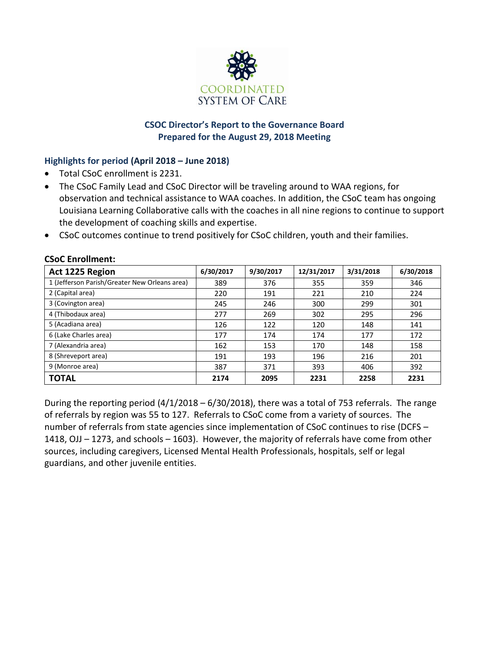

## **CSOC Director's Report to the Governance Board Prepared for the August 29, 2018 Meeting**

# **Highlights for period (April 2018 – June 2018)**

- Total CSoC enrollment is 2231.
- The CSoC Family Lead and CSoC Director will be traveling around to WAA regions, for observation and technical assistance to WAA coaches. In addition, the CSoC team has ongoing Louisiana Learning Collaborative calls with the coaches in all nine regions to continue to support the development of coaching skills and expertise.
- CSoC outcomes continue to trend positively for CSoC children, youth and their families.

| Act 1225 Region                               | 6/30/2017 | 9/30/2017 | 12/31/2017 | 3/31/2018 | 6/30/2018 |
|-----------------------------------------------|-----------|-----------|------------|-----------|-----------|
| 1 (Jefferson Parish/Greater New Orleans area) | 389       | 376       | 355        | 359       | 346       |
| 2 (Capital area)                              | 220       | 191       | 221        | 210       | 224       |
| 3 (Covington area)                            | 245       | 246       | 300        | 299       | 301       |
| 4 (Thibodaux area)                            | 277       | 269       | 302        | 295       | 296       |
| 5 (Acadiana area)                             | 126       | 122       | 120        | 148       | 141       |
| 6 (Lake Charles area)                         | 177       | 174       | 174        | 177       | 172       |
| 7 (Alexandria area)                           | 162       | 153       | 170        | 148       | 158       |
| 8 (Shreveport area)                           | 191       | 193       | 196        | 216       | 201       |
| 9 (Monroe area)                               | 387       | 371       | 393        | 406       | 392       |
| <b>TOTAL</b>                                  | 2174      | 2095      | 2231       | 2258      | 2231      |

#### **CSoC Enrollment:**

During the reporting period (4/1/2018 – 6/30/2018), there was a total of 753 referrals. The range of referrals by region was 55 to 127. Referrals to CSoC come from a variety of sources. The number of referrals from state agencies since implementation of CSoC continues to rise (DCFS – 1418, OJJ – 1273, and schools – 1603). However, the majority of referrals have come from other sources, including caregivers, Licensed Mental Health Professionals, hospitals, self or legal guardians, and other juvenile entities.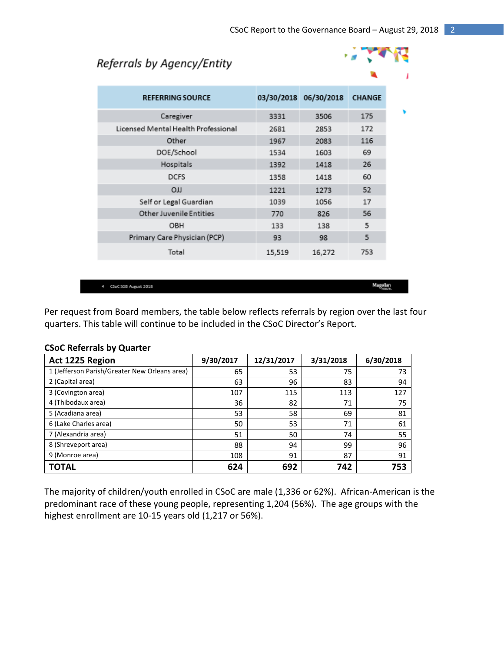# Referrals by Agency/Entity

**REFERRING SOURCE** 



| Caregiver                           | 3331   | 3506   | 175 |
|-------------------------------------|--------|--------|-----|
| Licensed Mental Health Professional | 2681   | 2853   | 172 |
| Other                               | 1967   | 2083   | 116 |
| DOE/School                          | 1534   | 1603   | 69  |
| Hospitals                           | 1392   | 1418   | 26  |
| <b>DCFS</b>                         | 1358   | 1418   | 60  |
| LLO                                 | 1221   | 1273   | 52  |
| Self or Legal Guardian              | 1039   | 1056   | 17  |
| <b>Other Juvenile Entities</b>      | 770    | 826    | 56  |
| OBH                                 | 133    | 138    | 5   |
| Primary Care Physician (PCP)        | 93     | 98     | 5   |
| Total                               | 15,519 | 16,272 | 753 |
|                                     |        |        |     |

4 CSoC 5GB August 2018

Magellan

Per request from Board members, the table below reflects referrals by region over the last four quarters. This table will continue to be included in the CSoC Director's Report.

| Act 1225 Region                               | 9/30/2017 | 12/31/2017 | 3/31/2018 | 6/30/2018 |
|-----------------------------------------------|-----------|------------|-----------|-----------|
| 1 (Jefferson Parish/Greater New Orleans area) | 65        | 53         | 75        | 73        |
| 2 (Capital area)                              | 63        | 96         | 83        | 94        |
| 3 (Covington area)                            | 107       | 115        | 113       | 127       |
| 4 (Thibodaux area)                            | 36        | 82         | 71        | 75        |
| 5 (Acadiana area)                             | 53        | 58         | 69        | 81        |
| 6 (Lake Charles area)                         | 50        | 53         | 71        | 61        |
| 7 (Alexandria area)                           | 51        | 50         | 74        | 55        |
| 8 (Shreveport area)                           | 88        | 94         | 99        | 96        |
| 9 (Monroe area)                               | 108       | 91         | 87        | 91        |
| <b>TOTAL</b>                                  | 624       | 692        | 742       | 753       |

#### **CSoC Referrals by Quarter**

The majority of children/youth enrolled in CSoC are male (1,336 or 62%). African-American is the predominant race of these young people, representing 1,204 (56%). The age groups with the highest enrollment are 10-15 years old (1,217 or 56%).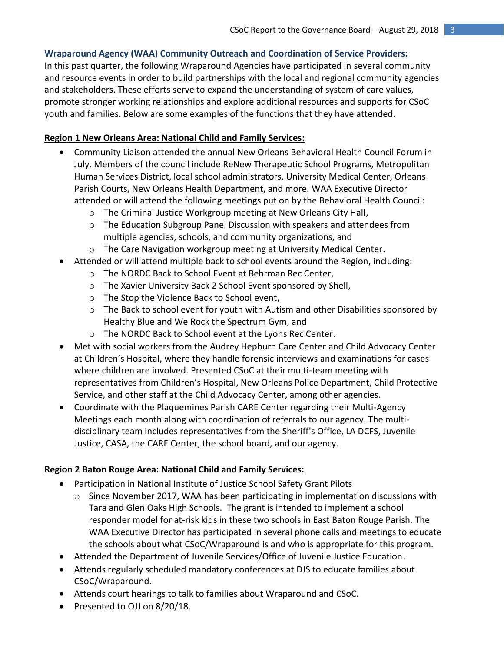# **Wraparound Agency (WAA) Community Outreach and Coordination of Service Providers:**

In this past quarter, the following Wraparound Agencies have participated in several community and resource events in order to build partnerships with the local and regional community agencies and stakeholders. These efforts serve to expand the understanding of system of care values, promote stronger working relationships and explore additional resources and supports for CSoC youth and families. Below are some examples of the functions that they have attended.

# **Region 1 New Orleans Area: National Child and Family Services:**

- Community Liaison attended the annual New Orleans Behavioral Health Council Forum in July. Members of the council include ReNew Therapeutic School Programs, Metropolitan Human Services District, local school administrators, University Medical Center, Orleans Parish Courts, New Orleans Health Department, and more. WAA Executive Director attended or will attend the following meetings put on by the Behavioral Health Council:
	- o The Criminal Justice Workgroup meeting at New Orleans City Hall,
	- $\circ$  The Education Subgroup Panel Discussion with speakers and attendees from multiple agencies, schools, and community organizations, and
	- o The Care Navigation workgroup meeting at University Medical Center.
- Attended or will attend multiple back to school events around the Region, including:
	- o The NORDC Back to School Event at Behrman Rec Center,
	- o The Xavier University Back 2 School Event sponsored by Shell,
	- o The Stop the Violence Back to School event,
	- $\circ$  The Back to school event for youth with Autism and other Disabilities sponsored by Healthy Blue and We Rock the Spectrum Gym, and
	- o The NORDC Back to School event at the Lyons Rec Center.
- Met with social workers from the Audrey Hepburn Care Center and Child Advocacy Center at Children's Hospital, where they handle forensic interviews and examinations for cases where children are involved. Presented CSoC at their multi-team meeting with representatives from Children's Hospital, New Orleans Police Department, Child Protective Service, and other staff at the Child Advocacy Center, among other agencies.
- Coordinate with the Plaquemines Parish CARE Center regarding their Multi-Agency Meetings each month along with coordination of referrals to our agency. The multidisciplinary team includes representatives from the Sheriff's Office, LA DCFS, Juvenile Justice, CASA, the CARE Center, the school board, and our agency.

## **Region 2 Baton Rouge Area: National Child and Family Services:**

- Participation in National Institute of Justice School Safety Grant Pilots
	- $\circ$  Since November 2017, WAA has been participating in implementation discussions with Tara and Glen Oaks High Schools. The grant is intended to implement a school responder model for at-risk kids in these two schools in East Baton Rouge Parish. The WAA Executive Director has participated in several phone calls and meetings to educate the schools about what CSoC/Wraparound is and who is appropriate for this program.
- Attended the Department of Juvenile Services/Office of Juvenile Justice Education.
- Attends regularly scheduled mandatory conferences at DJS to educate families about CSoC/Wraparound.
- Attends court hearings to talk to families about Wraparound and CSoC.
- Presented to OJJ on 8/20/18.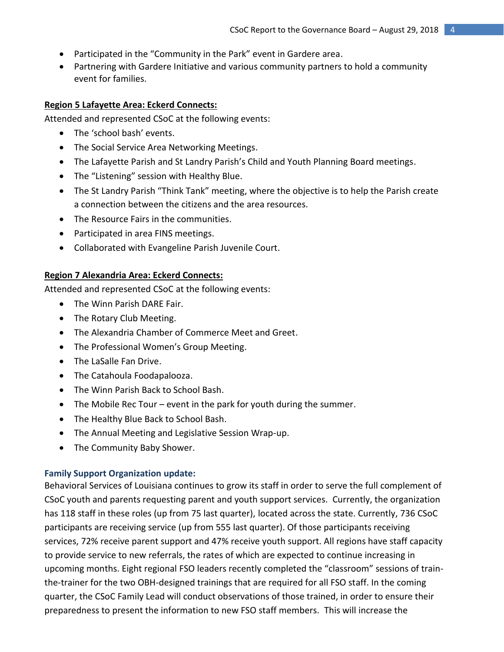- Participated in the "Community in the Park" event in Gardere area.
- Partnering with Gardere Initiative and various community partners to hold a community event for families.

#### **Region 5 Lafayette Area: Eckerd Connects:**

Attended and represented CSoC at the following events:

- The 'school bash' events.
- The Social Service Area Networking Meetings.
- The Lafayette Parish and St Landry Parish's Child and Youth Planning Board meetings.
- The "Listening" session with Healthy Blue.
- The St Landry Parish "Think Tank" meeting, where the objective is to help the Parish create a connection between the citizens and the area resources.
- The Resource Fairs in the communities.
- Participated in area FINS meetings.
- Collaborated with Evangeline Parish Juvenile Court.

#### **Region 7 Alexandria Area: Eckerd Connects:**

Attended and represented CSoC at the following events:

- The Winn Parish DARE Fair.
- The Rotary Club Meeting.
- The Alexandria Chamber of Commerce Meet and Greet.
- The Professional Women's Group Meeting.
- The LaSalle Fan Drive.
- The Catahoula Foodapalooza.
- The Winn Parish Back to School Bash.
- The Mobile Rec Tour event in the park for youth during the summer.
- The Healthy Blue Back to School Bash.
- The Annual Meeting and Legislative Session Wrap-up.
- The Community Baby Shower.

#### **Family Support Organization update:**

Behavioral Services of Louisiana continues to grow its staff in order to serve the full complement of CSoC youth and parents requesting parent and youth support services. Currently, the organization has 118 staff in these roles (up from 75 last quarter), located across the state. Currently, 736 CSoC participants are receiving service (up from 555 last quarter). Of those participants receiving services, 72% receive parent support and 47% receive youth support. All regions have staff capacity to provide service to new referrals, the rates of which are expected to continue increasing in upcoming months. Eight regional FSO leaders recently completed the "classroom" sessions of trainthe-trainer for the two OBH-designed trainings that are required for all FSO staff. In the coming quarter, the CSoC Family Lead will conduct observations of those trained, in order to ensure their preparedness to present the information to new FSO staff members. This will increase the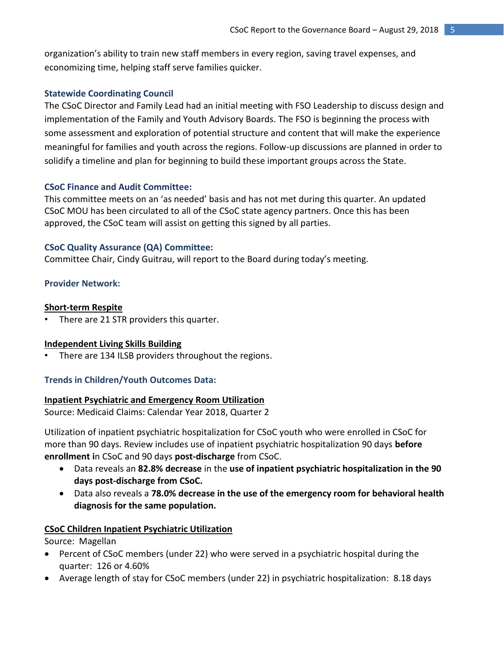organization's ability to train new staff members in every region, saving travel expenses, and economizing time, helping staff serve families quicker.

#### **Statewide Coordinating Council**

The CSoC Director and Family Lead had an initial meeting with FSO Leadership to discuss design and implementation of the Family and Youth Advisory Boards. The FSO is beginning the process with some assessment and exploration of potential structure and content that will make the experience meaningful for families and youth across the regions. Follow-up discussions are planned in order to solidify a timeline and plan for beginning to build these important groups across the State.

#### **CSoC Finance and Audit Committee:**

This committee meets on an 'as needed' basis and has not met during this quarter. An updated CSoC MOU has been circulated to all of the CSoC state agency partners. Once this has been approved, the CSoC team will assist on getting this signed by all parties.

#### **CSoC Quality Assurance (QA) Committee:**

Committee Chair, Cindy Guitrau, will report to the Board during today's meeting.

#### **Provider Network:**

#### **Short-term Respite**

There are 21 STR providers this quarter.

## **Independent Living Skills Building**

There are 134 ILSB providers throughout the regions.

## **Trends in Children/Youth Outcomes Data:**

#### **Inpatient Psychiatric and Emergency Room Utilization**

Source: Medicaid Claims: Calendar Year 2018, Quarter 2

Utilization of inpatient psychiatric hospitalization for CSoC youth who were enrolled in CSoC for more than 90 days. Review includes use of inpatient psychiatric hospitalization 90 days **before enrollment i**n CSoC and 90 days **post-discharge** from CSoC.

- Data reveals an **82.8% decrease** in the **use of inpatient psychiatric hospitalization in the 90 days post-discharge from CSoC.**
- Data also reveals a **78.0% decrease in the use of the emergency room for behavioral health diagnosis for the same population.**

## **CSoC Children Inpatient Psychiatric Utilization**

Source: Magellan

- Percent of CSoC members (under 22) who were served in a psychiatric hospital during the quarter: 126 or 4.60%
- Average length of stay for CSoC members (under 22) in psychiatric hospitalization: 8.18 days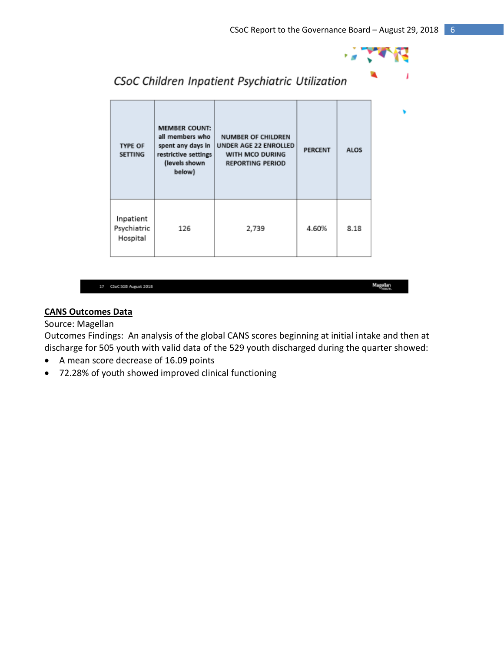

| <b>TYPE OF</b><br><b>SETTING</b>     | <b>MEMBER COUNT:</b><br>all members who<br>spent any days in<br>restrictive settings<br>(levels shown<br>below) | <b>NUMBER OF CHILDREN</b><br>UNDER AGE 22 ENROLLED<br>WITH MCO DURING<br><b>REPORTING PERIOD</b> | <b>PERCENT</b> | <b>ALOS</b> |
|--------------------------------------|-----------------------------------------------------------------------------------------------------------------|--------------------------------------------------------------------------------------------------|----------------|-------------|
| Inpatient<br>Psychiatric<br>Hospital | 126                                                                                                             | 2,739                                                                                            | 4.60%          | 8.18        |

CSoC Children Inpatient Psychiatric Utilization

| r | <b>CRACK</b> | <b>AREA DISTURBANCE</b> | e 20 |
|---|--------------|-------------------------|------|

Magellan

#### **CANS Outcomes Data**

#### Source: Magellan

Outcomes Findings: An analysis of the global CANS scores beginning at initial intake and then at discharge for 505 youth with valid data of the 529 youth discharged during the quarter showed:

- A mean score decrease of 16.09 points
- 72.28% of youth showed improved clinical functioning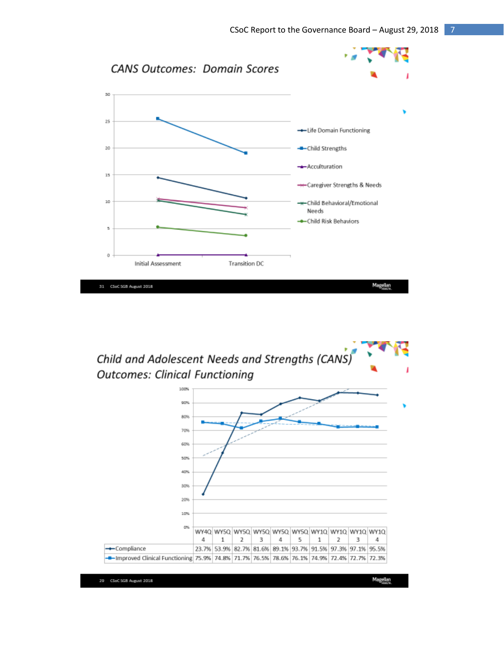

Child and Adolescent Needs and Strengths (CANS) **Outcomes: Clinical Functioning** 

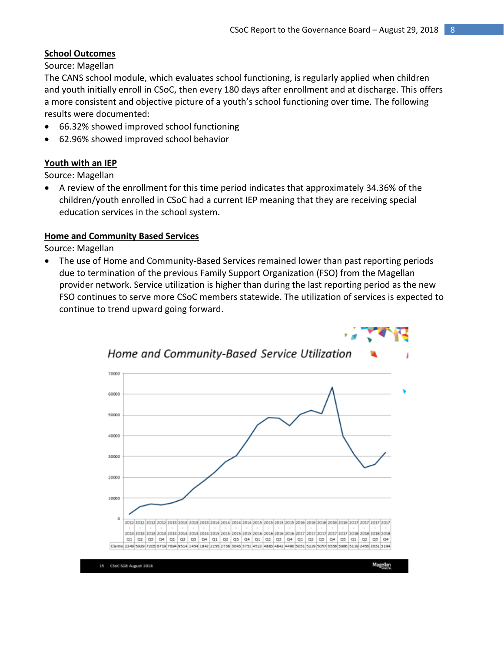# **School Outcomes**

Source: Magellan

The CANS school module, which evaluates school functioning, is regularly applied when children and youth initially enroll in CSoC, then every 180 days after enrollment and at discharge. This offers a more consistent and objective picture of a youth's school functioning over time. The following results were documented:

- 66.32% showed improved school functioning
- 62.96% showed improved school behavior

# **Youth with an IEP**

Source: Magellan

 A review of the enrollment for this time period indicates that approximately 34.36% of the children/youth enrolled in CSoC had a current IEP meaning that they are receiving special education services in the school system.

## **Home and Community Based Services**

Source: Magellan

 The use of Home and Community-Based Services remained lower than past reporting periods due to termination of the previous Family Support Organization (FSO) from the Magellan provider network. Service utilization is higher than during the last reporting period as the new FSO continues to serve more CSoC members statewide. The utilization of services is expected to continue to trend upward going forward.

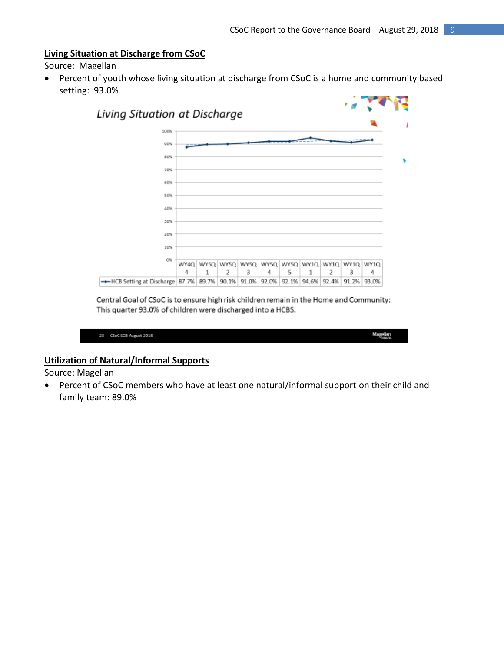#### **Living Situation at Discharge from CSoC**

Source: Magellan

 Percent of youth whose living situation at discharge from CSoC is a home and community based setting: 93.0%



Central Goal of CSoC is to ensure high risk children remain in the Home and Community: This quarter 93.0% of children were discharged into a HCBS.

| 25 | CSoC 5GB August 2018 | Magellan<br><b>STATE</b> |
|----|----------------------|--------------------------|
|    |                      |                          |

#### **Utilization of Natural/Informal Supports**

Source: Magellan

 Percent of CSoC members who have at least one natural/informal support on their child and family team: 89.0%